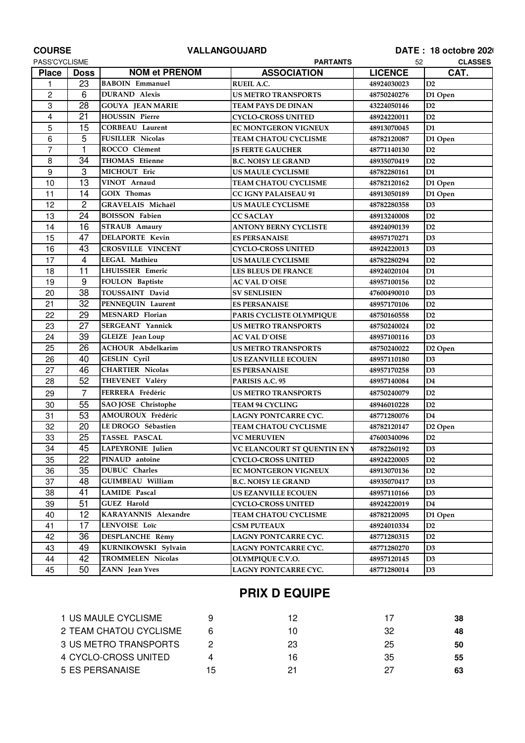| <b>COURSE</b>           |                 | <b>VALLANGOUJARD</b>     | DATE: 18 octobre 2020               |                      |                     |
|-------------------------|-----------------|--------------------------|-------------------------------------|----------------------|---------------------|
| PASS'CYCLISME           |                 | <b>PARTANTS</b>          |                                     | <b>CLASSES</b><br>52 |                     |
| <b>Place</b>            | <b>Doss</b>     | <b>NOM et PRENOM</b>     | <b>ASSOCIATION</b>                  | <b>LICENCE</b>       | CAT.                |
| 1                       | 23              | <b>BABOIN</b> Emmanuel   | <b>RUEIL A.C.</b>                   | 48924030023          | D2                  |
| $\overline{c}$          | 6               | <b>DURAND</b> Alexis     | <b>US METRO TRANSPORTS</b>          | 48750240276          | D1 Open             |
| 3                       | 28              | <b>GOUYA JEAN MARIE</b>  | TEAM PAYS DE DINAN                  | 43224050146          | D2                  |
| $\overline{\mathbf{4}}$ | 21              | <b>HOUSSIN Pierre</b>    | <b>CYCLO-CROSS UNITED</b>           | 48924220011          | D2                  |
| 5                       | 15              | <b>CORBEAU Laurent</b>   | <b>EC MONTGERON VIGNEUX</b>         | 48913070045          | D <sub>1</sub>      |
| 6                       | 5               | <b>FUSILLER Nicolas</b>  | <b>TEAM CHATOU CYCLISME</b>         | 48782120087          | D1 Open             |
| $\overline{7}$          | $\mathbf{1}$    | ROCCO Clément            | <b>JS FERTE GAUCHER</b>             | 48771140130          | D2                  |
| 8                       | 34              | THOMAS Etienne           | <b>B.C. NOISY LE GRAND</b>          | 48935070419          | D2                  |
| 9                       | 3               | MICHOUT Eric             | <b>US MAULE CYCLISME</b>            | 48782280161          | D1                  |
| 10                      | 13              | VINOT Arnaud             | TEAM CHATOU CYCLISME                | 48782120162          | D1 Open             |
| 11                      | 14              | <b>GOIX</b> Thomas       | <b>CC IGNY PALAISEAU 91</b>         | 48913050189          | D1 Open             |
| 12                      | $\overline{c}$  | GRAVELAIS Michaël        | <b>US MAULE CYCLISME</b>            | 48782280358          | D <sub>3</sub>      |
| 13                      | 24              | <b>BOISSON Fabien</b>    | <b>CC SACLAY</b>                    | 48913240008          | D2                  |
| 14                      | 16              | <b>STRAUB</b> Amaury     | <b>ANTONY BERNY CYCLISTE</b>        | 48924090139          | D2                  |
| 15                      | 47              | <b>DELAPORTE Kevin</b>   | <b>ES PERSANAISE</b>                | 48957170271          | D <sub>3</sub>      |
| 16                      | 43              | <b>CROSVILLE VINCENT</b> | <b>CYCLO-CROSS UNITED</b>           | 48924220013          | D <sub>3</sub>      |
| 17                      | $\overline{4}$  | <b>LEGAL Mathieu</b>     | <b>US MAULE CYCLISME</b>            | 48782280294          | D2                  |
| 18                      | 11              | <b>LHUISSIER Emeric</b>  | <b>LES BLEUS DE FRANCE</b>          | 48924020104          | D <sub>1</sub>      |
| 19                      | 9               | FOULON Baptiste          | <b>AC VAL D`OISE</b>                | 48957100156          | D2                  |
| 20                      | $\overline{38}$ | TOUSSAINT David          | <b>SV SENLISIEN</b>                 | 47600490010          | D3                  |
| 21                      | 32              | PENNEQUIN Laurent        | <b>ES PERSANAISE</b>                | 48957170106          | D2                  |
| 22                      | 29              | <b>MESNARD Florian</b>   | PARIS CYCLISTE OLYMPIQUE            | 48750160558          | D2                  |
| 23                      | 27              | <b>SERGEANT Yannick</b>  | <b>US METRO TRANSPORTS</b>          | 48750240024          | D2                  |
| 24                      | 39              | <b>GLEIZE</b> Jean Loup  | <b>AC VAL D`OISE</b>                | 48957100116          | D <sub>3</sub>      |
| 25                      | 26              | <b>ACHOUR Abdelkarim</b> | <b>US METRO TRANSPORTS</b>          | 48750240022          | D <sub>2</sub> Open |
| 26                      | 40              | <b>GESLIN Cyril</b>      | <b>US EZANVILLE ECOUEN</b>          | 48957110180          | D3                  |
| 27                      | 46              | <b>CHARTIER Nicolas</b>  | <b>ES PERSANAISE</b>                | 48957170258          | D3                  |
| 28                      | 52              | THEVENET Valéry          | PARISIS A.C. 95                     | 48957140084          | D <sub>4</sub>      |
| 29                      | $\overline{7}$  | FERRERA Frédéric         | <b>US METRO TRANSPORTS</b>          | 48750240079          | D2                  |
| 30                      | 55              | SAO JOSE Christophe      | <b>TEAM 94 CYCLING</b>              | 48946010228          | D2                  |
| 31                      | 53              | AMOUROUX Frédéric        | LAGNY PONTCARRE CYC.                | 48771280076          | D <sub>4</sub>      |
| 32                      | 20              | LE DROGO Sébastien       | <b>TEAM CHATOU CYCLISME</b>         | 48782120147          | D <sub>2</sub> Open |
| 33                      | 25              | <b>TASSEL PASCAL</b>     | <b>VC MERUVIEN</b>                  | 47600340096          | D2                  |
| 34                      | 45              | LAPEYRONIE Julien        | <b>VC ELANCOURT ST QUENTIN EN Y</b> | 48782260192          | D <sub>3</sub>      |
| 35                      | 22              | PINAUD antoine           | <b>CYCLO-CROSS UNITED</b>           | 48924220005          | D <sub>2</sub>      |
| 36                      | 35              | DUBUC Charles            | EC MONTGERON VIGNEUX                | 48913070136          | D <sub>2</sub>      |
| 37                      | 48              | <b>GUIMBEAU William</b>  | <b>B.C. NOISY LE GRAND</b>          | 48935070417          | D <sub>3</sub>      |
| 38                      | 41              | <b>LAMIDE</b> Pascal     | <b>US EZANVILLE ECOUEN</b>          | 48957110166          | D3                  |
| 39                      | 51              | <b>GUEZ Harold</b>       | CYCLO-CROSS UNITED                  | 48924220019          | D4                  |
| 40                      | 12              | KARAYANNIS Alexandre     | TEAM CHATOU CYCLISME                | 48782120095          | D1 Open             |
| 41                      | 17              | LENVOISE Loïc            | <b>CSM PUTEAUX</b>                  | 48924010334          | D <sub>2</sub>      |
| 42                      | 36              | DESPLANCHE Rémy          | LAGNY PONTCARRE CYC.                | 48771280315          | D <sub>2</sub>      |
| 43                      | 49              | KURNIKOWSKI Sylvain      | LAGNY PONTCARRE CYC.                | 48771280270          | D3                  |
| 44                      | 42              | TROMMELEN Nicolas        | <b>OLYMPIQUE C.V.O.</b>             | 48957120145          | D3                  |
| 45                      | 50              | ZANN Jean Yves           | LAGNY PONTCARRE CYC.                | 48771280014          | D <sub>3</sub>      |
|                         |                 |                          |                                     |                      |                     |

## **PRIX D EQUIPE**

| 1 US MAULE CYCLISME    |    | 12 | 17 | 38 |
|------------------------|----|----|----|----|
| 2 TEAM CHATOU CYCLISME |    | 10 | 32 | 48 |
| 3 US METRO TRANSPORTS  |    | 23 | 25 | 50 |
| 4 CYCLO-CROSS UNITED   |    | 16 | 35 | 55 |
| 5 ES PERSANAISE        | 15 | 21 | 27 | 63 |